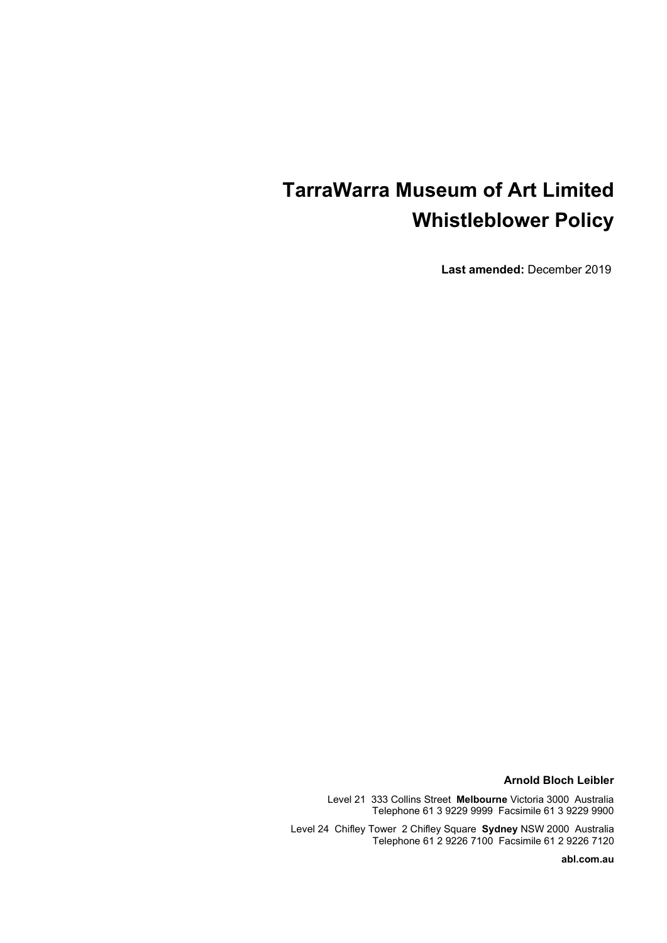# **TarraWarra Museum of Art Limited Whistleblower Policy**

**Last amended:** December 2019

**Arnold Bloch Leibler**

Level 21 333 Collins Street **Melbourne** Victoria 3000Australia Telephone 61 3 9229 9999 Facsimile 61 3 9229 9900

Level 24 Chifley Tower 2 Chifley Square **Sydney** NSW 2000 Australia Telephone 61 2 9226 7100 Facsimile 61 2 9226 7120

**abl.com.au**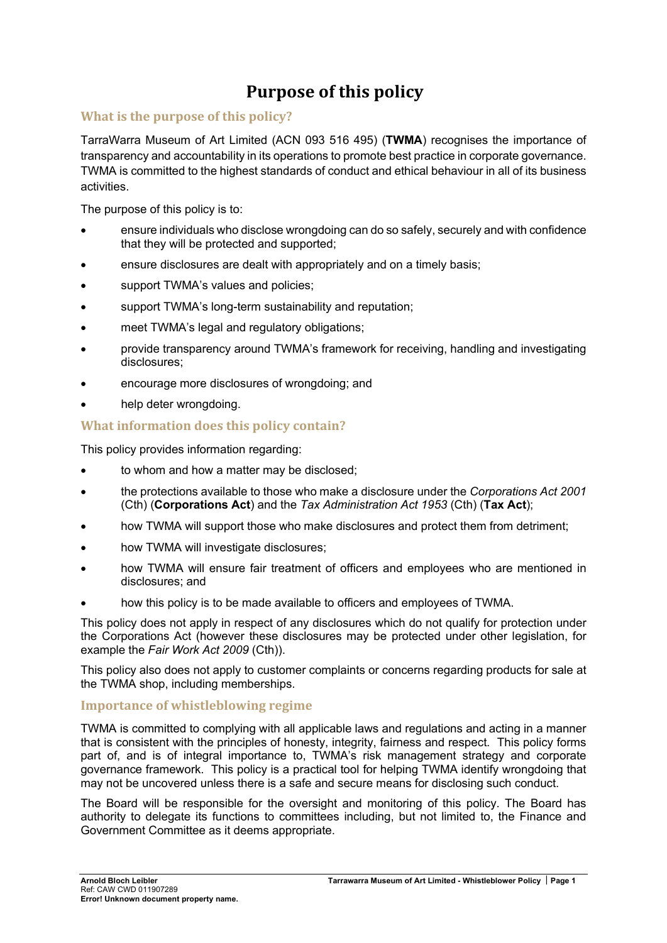# **Purpose of this policy**

## **What is the purpose of this policy?**

TarraWarra Museum of Art Limited (ACN 093 516 495) (**TWMA**) recognises the importance of transparency and accountability in its operations to promote best practice in corporate governance. TWMA is committed to the highest standards of conduct and ethical behaviour in all of its business activities.

The purpose of this policy is to:

- ensure individuals who disclose wrongdoing can do so safely, securely and with confidence that they will be protected and supported;
- ensure disclosures are dealt with appropriately and on a timely basis;
- support TWMA's values and policies;
- support TWMA's long-term sustainability and reputation;
- meet TWMA's legal and regulatory obligations;
- provide transparency around TWMA's framework for receiving, handling and investigating disclosures;
- encourage more disclosures of wrongdoing; and
- help deter wrongdoing.

## **What information does this policy contain?**

This policy provides information regarding:

- to whom and how a matter may be disclosed;
- the protections available to those who make a disclosure under the *Corporations Act 2001* (Cth) (**Corporations Act**) and the *Tax Administration Act 1953* (Cth) (**Tax Act**);
- how TWMA will support those who make disclosures and protect them from detriment;
- how TWMA will investigate disclosures;
- how TWMA will ensure fair treatment of officers and employees who are mentioned in disclosures; and
- how this policy is to be made available to officers and employees of TWMA.

This policy does not apply in respect of any disclosures which do not qualify for protection under the Corporations Act (however these disclosures may be protected under other legislation, for example the *Fair Work Act 2009* (Cth)).

This policy also does not apply to customer complaints or concerns regarding products for sale at the TWMA shop, including memberships.

## **Importance of whistleblowing regime**

TWMA is committed to complying with all applicable laws and regulations and acting in a manner that is consistent with the principles of honesty, integrity, fairness and respect. This policy forms part of, and is of integral importance to, TWMA's risk management strategy and corporate governance framework. This policy is a practical tool for helping TWMA identify wrongdoing that may not be uncovered unless there is a safe and secure means for disclosing such conduct.

The Board will be responsible for the oversight and monitoring of this policy. The Board has authority to delegate its functions to committees including, but not limited to, the Finance and Government Committee as it deems appropriate.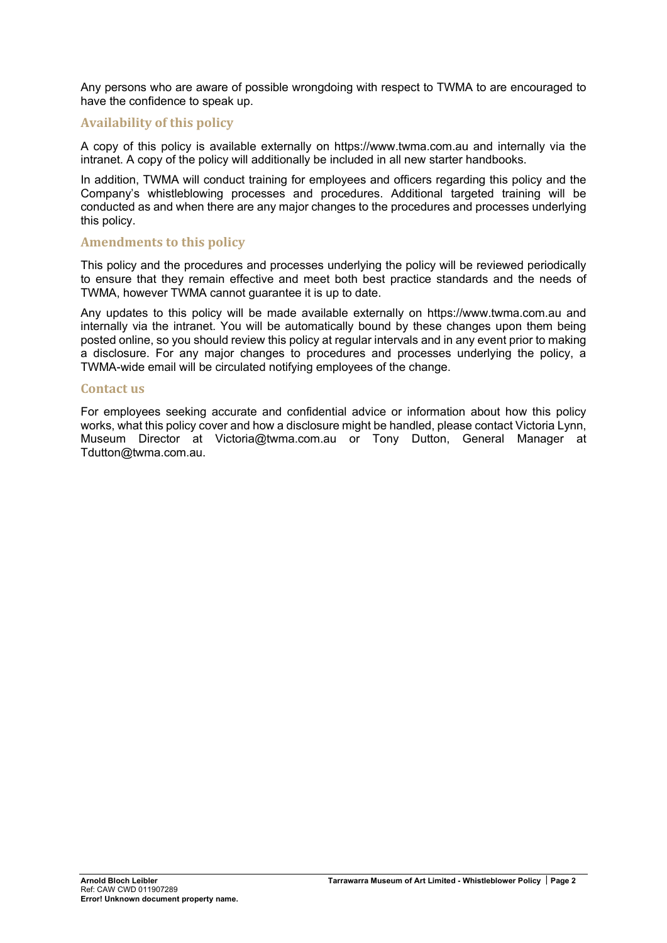Any persons who are aware of possible wrongdoing with respect to TWMA to are encouraged to have the confidence to speak up.

## **Availability of this policy**

A copy of this policy is available externally on https://www.twma.com.au and internally via the intranet. A copy of the policy will additionally be included in all new starter handbooks.

In addition, TWMA will conduct training for employees and officers regarding this policy and the Company's whistleblowing processes and procedures. Additional targeted training will be conducted as and when there are any major changes to the procedures and processes underlying this policy.

### **Amendments to this policy**

This policy and the procedures and processes underlying the policy will be reviewed periodically to ensure that they remain effective and meet both best practice standards and the needs of TWMA, however TWMA cannot guarantee it is up to date.

Any updates to this policy will be made available externally on https://www.twma.com.au and internally via the intranet. You will be automatically bound by these changes upon them being posted online, so you should review this policy at regular intervals and in any event prior to making a disclosure. For any major changes to procedures and processes underlying the policy, a TWMA-wide email will be circulated notifying employees of the change.

### **Contact us**

For employees seeking accurate and confidential advice or information about how this policy works, what this policy cover and how a disclosure might be handled, please contact Victoria Lynn, Museum Director at Victoria@twma.com.au or Tony Dutton, General Manager at Tdutton@twma.com.au.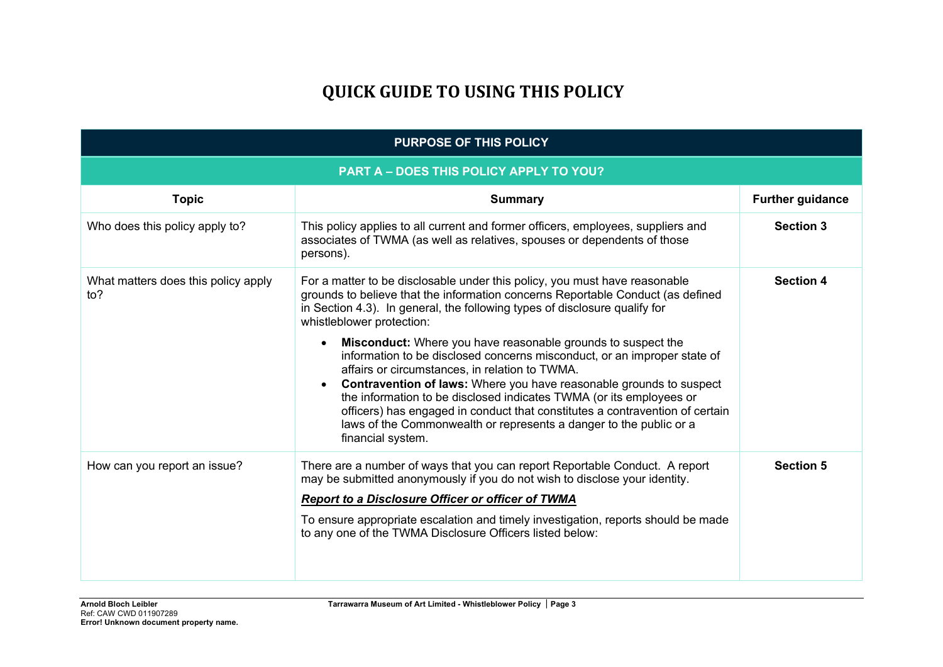# **QUICK GUIDE TO USING THIS POLICY**

| PURPOSE OF THIS POLICY                     |                                                                                                                                                                                                                                                                                                                                                                                                                                                                                                                                                      |                         |  |  |
|--------------------------------------------|------------------------------------------------------------------------------------------------------------------------------------------------------------------------------------------------------------------------------------------------------------------------------------------------------------------------------------------------------------------------------------------------------------------------------------------------------------------------------------------------------------------------------------------------------|-------------------------|--|--|
| PART A - DOES THIS POLICY APPLY TO YOU?    |                                                                                                                                                                                                                                                                                                                                                                                                                                                                                                                                                      |                         |  |  |
| <b>Topic</b>                               | <b>Summary</b>                                                                                                                                                                                                                                                                                                                                                                                                                                                                                                                                       | <b>Further guidance</b> |  |  |
| Who does this policy apply to?             | This policy applies to all current and former officers, employees, suppliers and<br>associates of TWMA (as well as relatives, spouses or dependents of those<br>persons).                                                                                                                                                                                                                                                                                                                                                                            | <b>Section 3</b>        |  |  |
| What matters does this policy apply<br>to? | For a matter to be disclosable under this policy, you must have reasonable<br>grounds to believe that the information concerns Reportable Conduct (as defined<br>in Section 4.3). In general, the following types of disclosure qualify for<br>whistleblower protection:                                                                                                                                                                                                                                                                             | <b>Section 4</b>        |  |  |
|                                            | <b>Misconduct:</b> Where you have reasonable grounds to suspect the<br>$\bullet$<br>information to be disclosed concerns misconduct, or an improper state of<br>affairs or circumstances, in relation to TWMA.<br>Contravention of laws: Where you have reasonable grounds to suspect<br>$\bullet$<br>the information to be disclosed indicates TWMA (or its employees or<br>officers) has engaged in conduct that constitutes a contravention of certain<br>laws of the Commonwealth or represents a danger to the public or a<br>financial system. |                         |  |  |
| How can you report an issue?               | There are a number of ways that you can report Reportable Conduct. A report<br>may be submitted anonymously if you do not wish to disclose your identity.<br><b>Report to a Disclosure Officer or officer of TWMA</b><br>To ensure appropriate escalation and timely investigation, reports should be made<br>to any one of the TWMA Disclosure Officers listed below:                                                                                                                                                                               | <b>Section 5</b>        |  |  |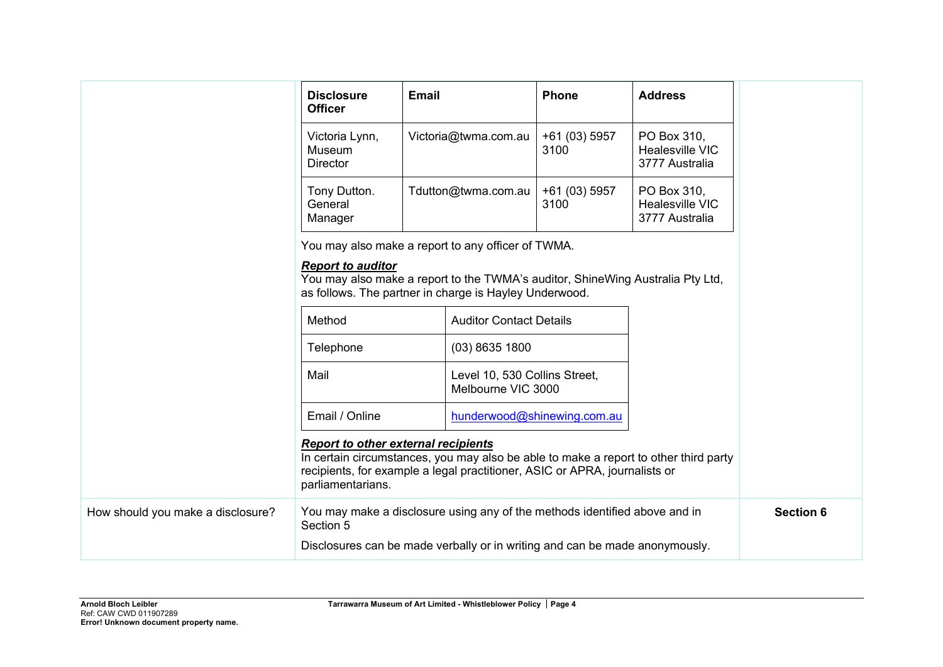|                                   | <b>Disclosure</b><br><b>Officer</b>                                                                                                                                                                                                   | <b>Email</b>         |                                                     | <b>Phone</b>                | <b>Address</b>                                   |  |
|-----------------------------------|---------------------------------------------------------------------------------------------------------------------------------------------------------------------------------------------------------------------------------------|----------------------|-----------------------------------------------------|-----------------------------|--------------------------------------------------|--|
|                                   | Victoria Lynn,<br>Museum<br><b>Director</b>                                                                                                                                                                                           | Victoria@twma.com.au |                                                     | +61 (03) 5957<br>3100       | PO Box 310,<br>Healesville VIC<br>3777 Australia |  |
|                                   | Tony Dutton.<br>General<br>Manager                                                                                                                                                                                                    |                      | Tdutton@twma.com.au                                 | +61 (03) 5957<br>3100       | PO Box 310,<br>Healesville VIC<br>3777 Australia |  |
|                                   | You may also make a report to any officer of TWMA.<br><b>Report to auditor</b><br>You may also make a report to the TWMA's auditor, ShineWing Australia Pty Ltd,<br>as follows. The partner in charge is Hayley Underwood.            |                      |                                                     |                             |                                                  |  |
|                                   | Method                                                                                                                                                                                                                                |                      | <b>Auditor Contact Details</b>                      |                             |                                                  |  |
|                                   | Telephone                                                                                                                                                                                                                             |                      | $(03)$ 8635 1800                                    |                             |                                                  |  |
|                                   | Mail                                                                                                                                                                                                                                  |                      | Level 10, 530 Collins Street,<br>Melbourne VIC 3000 |                             |                                                  |  |
|                                   | Email / Online                                                                                                                                                                                                                        |                      |                                                     | hunderwood@shinewing.com.au |                                                  |  |
|                                   | <b>Report to other external recipients</b><br>In certain circumstances, you may also be able to make a report to other third party<br>recipients, for example a legal practitioner, ASIC or APRA, journalists or<br>parliamentarians. |                      |                                                     |                             |                                                  |  |
| How should you make a disclosure? | You may make a disclosure using any of the methods identified above and in<br>Section 5                                                                                                                                               |                      |                                                     | <b>Section 6</b>            |                                                  |  |
|                                   | Disclosures can be made verbally or in writing and can be made anonymously.                                                                                                                                                           |                      |                                                     |                             |                                                  |  |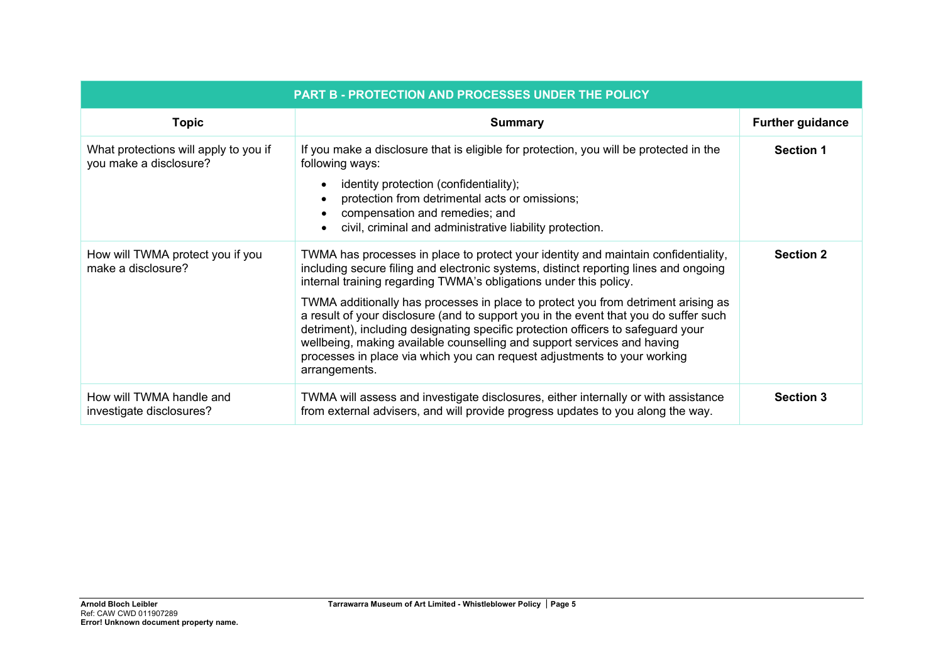| <b>PART B - PROTECTION AND PROCESSES UNDER THE POLICY</b>       |                                                                                                                                                                                                                                                                                                                                                                                                                                                                                                                                                                                                                                                                                          |                         |  |  |
|-----------------------------------------------------------------|------------------------------------------------------------------------------------------------------------------------------------------------------------------------------------------------------------------------------------------------------------------------------------------------------------------------------------------------------------------------------------------------------------------------------------------------------------------------------------------------------------------------------------------------------------------------------------------------------------------------------------------------------------------------------------------|-------------------------|--|--|
| <b>Topic</b>                                                    | <b>Summary</b>                                                                                                                                                                                                                                                                                                                                                                                                                                                                                                                                                                                                                                                                           | <b>Further guidance</b> |  |  |
| What protections will apply to you if<br>you make a disclosure? | If you make a disclosure that is eligible for protection, you will be protected in the<br>following ways:<br>identity protection (confidentiality);<br>protection from detrimental acts or omissions;<br>compensation and remedies; and<br>$\bullet$<br>civil, criminal and administrative liability protection.                                                                                                                                                                                                                                                                                                                                                                         | <b>Section 1</b>        |  |  |
| How will TWMA protect you if you<br>make a disclosure?          | TWMA has processes in place to protect your identity and maintain confidentiality,<br>including secure filing and electronic systems, distinct reporting lines and ongoing<br>internal training regarding TWMA's obligations under this policy.<br>TWMA additionally has processes in place to protect you from detriment arising as<br>a result of your disclosure (and to support you in the event that you do suffer such<br>detriment), including designating specific protection officers to safeguard your<br>wellbeing, making available counselling and support services and having<br>processes in place via which you can request adjustments to your working<br>arrangements. | <b>Section 2</b>        |  |  |
| How will TWMA handle and<br>investigate disclosures?            | TWMA will assess and investigate disclosures, either internally or with assistance<br>from external advisers, and will provide progress updates to you along the way.                                                                                                                                                                                                                                                                                                                                                                                                                                                                                                                    | <b>Section 3</b>        |  |  |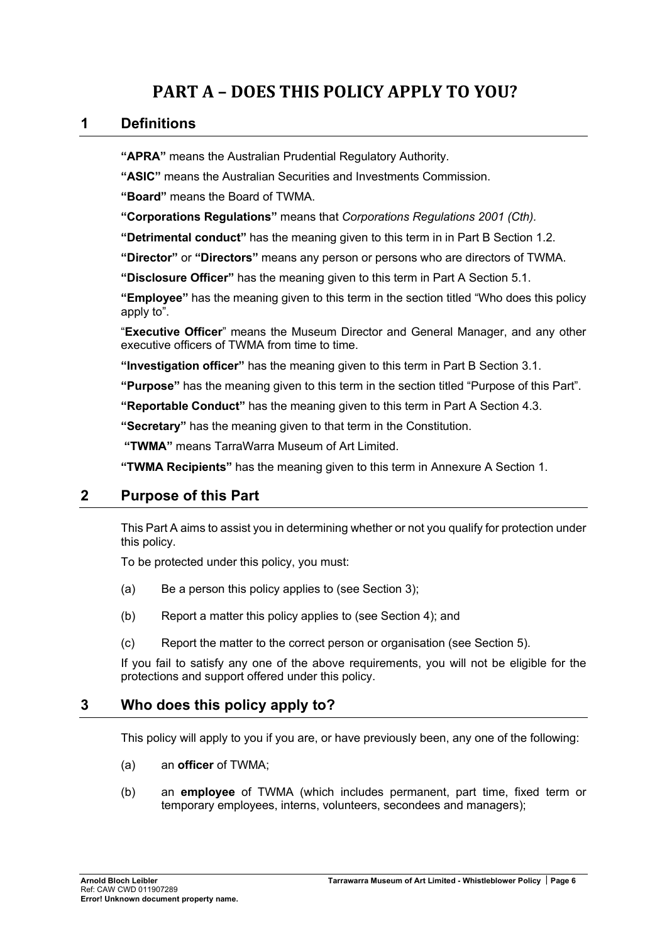# **PART A – DOES THIS POLICY APPLY TO YOU?**

## **1 Definitions**

**"APRA"** means the Australian Prudential Regulatory Authority.

**"ASIC"** means the Australian Securities and Investments Commission.

**"Board"** means the Board of TWMA.

**"Corporations Regulations"** means that *Corporations Regulations 2001 (Cth).*

**"Detrimental conduct"** has the meaning given to this term in in Part B Section 1.2.

**"Director"** or **"Directors"** means any person or persons who are directors of TWMA.

**"Disclosure Officer"** has the meaning given to this term in Part A Section 5.1.

**"Employee"** has the meaning given to this term in the section titled "Who does this policy apply to".

"**Executive Officer**" means the Museum Director and General Manager, and any other executive officers of TWMA from time to time.

**"Investigation officer"** has the meaning given to this term in Part B Section 3.1.

**"Purpose"** has the meaning given to this term in the section titled "Purpose of this Part".

**"Reportable Conduct"** has the meaning given to this term in Part A Section 4.3.

<span id="page-6-0"></span>**"Secretary"** has the meaning given to that term in the Constitution.

**"TWMA"** means TarraWarra Museum of Art Limited.

**"TWMA Recipients"** has the meaning given to this term in Annexure A Section 1.

## **2 Purpose of this Part**

This Part A aims to assist you in determining whether or not you qualify for protection under this policy.

To be protected under this policy, you must:

- (a) Be a person this policy applies to (see Section [3\)](#page-6-1);
- (b) Report a matter this policy applies to (see Section [4\)](#page-7-1); and
- (c) Report the matter to the correct person or organisation (see Section [5\)](#page-10-1).

If you fail to satisfy any one of the above requirements, you will not be eligible for the protections and support offered under this policy.

## <span id="page-6-1"></span>**3 Who does this policy apply to?**

This policy will apply to you if you are, or have previously been, any one of the following:

- <span id="page-6-2"></span>(a) an **officer** of TWMA;
- (b) an **employee** of TWMA (which includes permanent, part time, fixed term or temporary employees, interns, volunteers, secondees and managers);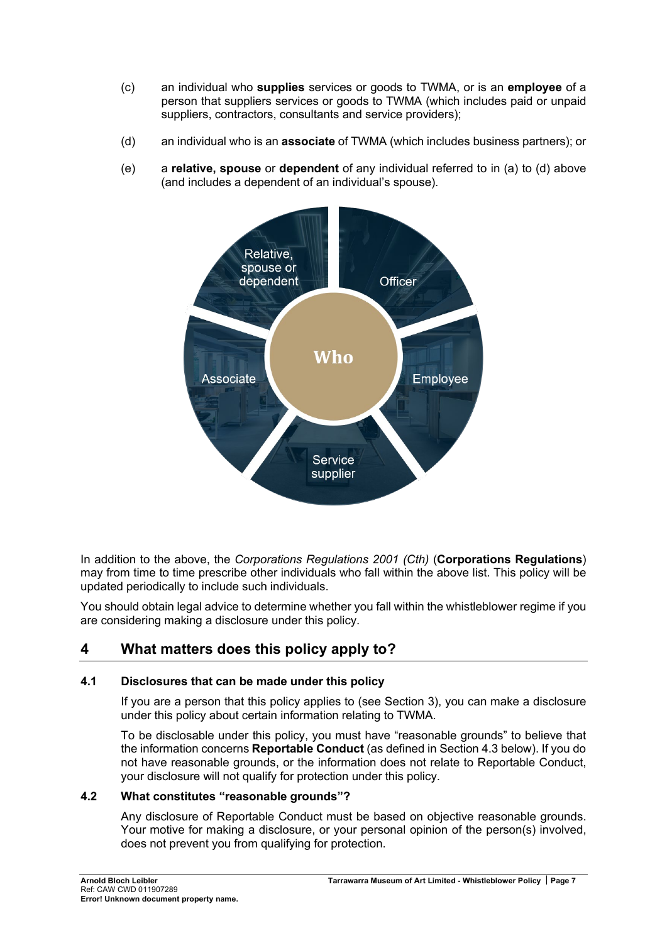- (c) an individual who **supplies** services or goods to TWMA, or is an **employee** of a person that suppliers services or goods to TWMA (which includes paid or unpaid suppliers, contractors, consultants and service providers);
- <span id="page-7-2"></span>(d) an individual who is an **associate** of TWMA (which includes business partners); or
- (e) a **relative, spouse** or **dependent** of any individual referred to in [\(a\)](#page-6-2) to [\(d\)](#page-7-2) above (and includes a dependent of an individual's spouse).

<span id="page-7-0"></span>

In addition to the above, the *Corporations Regulations 2001 (Cth)* (**Corporations Regulations**) may from time to time prescribe other individuals who fall within the above list. This policy will be updated periodically to include such individuals.

You should obtain legal advice to determine whether you fall within the whistleblower regime if you are considering making a disclosure under this policy.

# <span id="page-7-1"></span>**4 What matters does this policy apply to?**

## <span id="page-7-3"></span>**4.1 Disclosures that can be made under this policy**

If you are a person that this policy applies to (see Section [3\)](#page-6-1), you can make a disclosure under this policy about certain information relating to TWMA.

To be disclosable under this policy, you must have "reasonable grounds" to believe that the information concerns **Reportable Conduct** (as defined in Section [4.3](#page-8-1) below). If you do not have reasonable grounds, or the information does not relate to Reportable Conduct, your disclosure will not qualify for protection under this policy.

## **4.2 What constitutes "reasonable grounds"?**

Any disclosure of Reportable Conduct must be based on objective reasonable grounds. Your motive for making a disclosure, or your personal opinion of the person(s) involved, does not prevent you from qualifying for protection.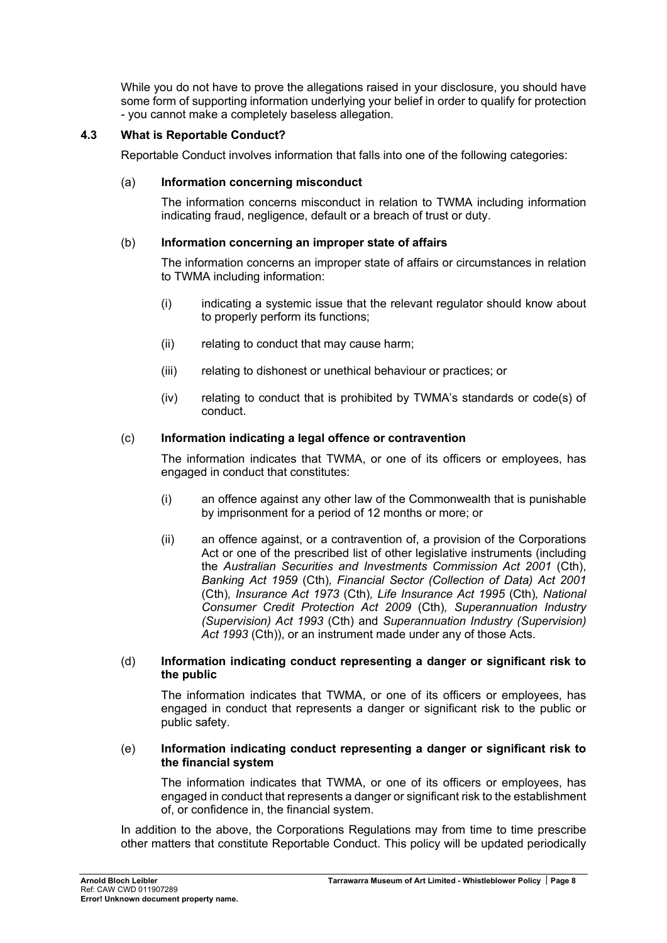<span id="page-8-0"></span>While you do not have to prove the allegations raised in your disclosure, you should have some form of supporting information underlying your belief in order to qualify for protection - you cannot make a completely baseless allegation.

## <span id="page-8-1"></span>**4.3 What is Reportable Conduct?**

Reportable Conduct involves information that falls into one of the following categories:

## (a) **Information concerning misconduct**

The information concerns misconduct in relation to TWMA including information indicating fraud, negligence, default or a breach of trust or duty.

## (b) **Information concerning an improper state of affairs**

The information concerns an improper state of affairs or circumstances in relation to TWMA including information:

- (i) indicating a systemic issue that the relevant regulator should know about to properly perform its functions;
- (ii) relating to conduct that may cause harm;
- (iii) relating to dishonest or unethical behaviour or practices; or
- (iv) relating to conduct that is prohibited by TWMA's standards or code(s) of conduct.

## (c) **Information indicating a legal offence or contravention**

The information indicates that TWMA, or one of its officers or employees, has engaged in conduct that constitutes:

- (i) an offence against any other law of the Commonwealth that is punishable by imprisonment for a period of 12 months or more; or
- (ii) an offence against, or a contravention of, a provision of the Corporations Act or one of the prescribed list of other legislative instruments (including the *Australian Securities and Investments Commission Act 2001* (Cth), *Banking Act 1959* (Cth)*, Financial Sector (Collection of Data) Act 2001*  (Cth)*, Insurance Act 1973* (Cth)*, Life Insurance Act 1995* (Cth)*, National Consumer Credit Protection Act 2009* (Cth)*, Superannuation Industry (Supervision) Act 1993* (Cth) and *Superannuation Industry (Supervision) Act 1993* (Cth)), or an instrument made under any of those Acts.

## (d) **Information indicating conduct representing a danger or significant risk to the public**

The information indicates that TWMA, or one of its officers or employees, has engaged in conduct that represents a danger or significant risk to the public or public safety.

### (e) **Information indicating conduct representing a danger or significant risk to the financial system**

The information indicates that TWMA, or one of its officers or employees, has engaged in conduct that represents a danger or significant risk to the establishment of, or confidence in, the financial system.

In addition to the above, the Corporations Regulations may from time to time prescribe other matters that constitute Reportable Conduct. This policy will be updated periodically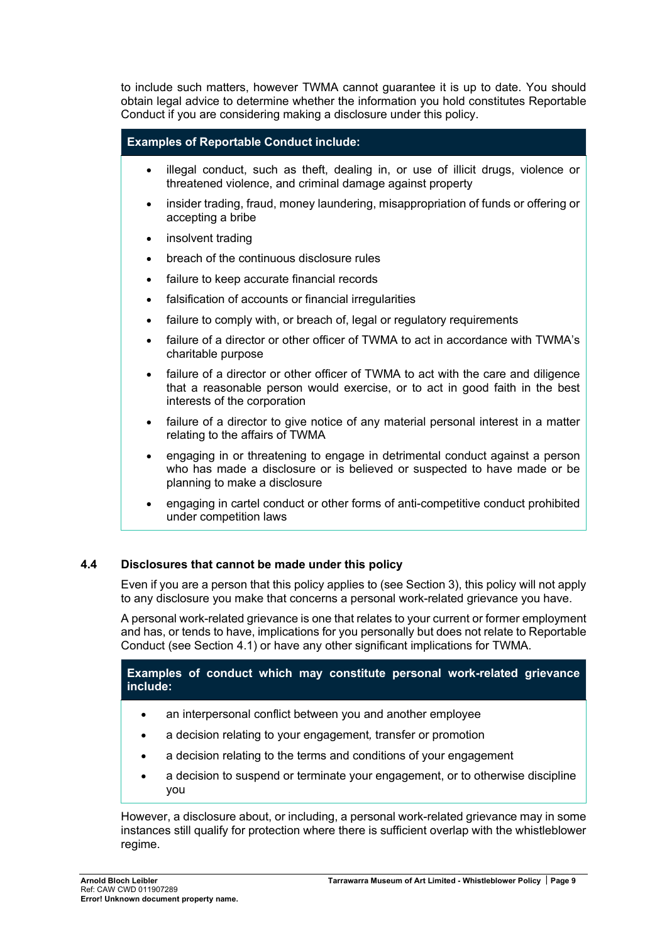to include such matters, however TWMA cannot guarantee it is up to date. You should obtain legal advice to determine whether the information you hold constitutes Reportable Conduct if you are considering making a disclosure under this policy.

### **Examples of Reportable Conduct include:**

- illegal conduct, such as theft, dealing in, or use of illicit drugs, violence or threatened violence, and criminal damage against property
- insider trading, fraud, money laundering, misappropriation of funds or offering or accepting a bribe
- insolvent trading
- breach of the continuous disclosure rules
- failure to keep accurate financial records
- falsification of accounts or financial irregularities
- failure to comply with, or breach of, legal or regulatory requirements
- failure of a director or other officer of TWMA to act in accordance with TWMA's charitable purpose
- failure of a director or other officer of TWMA to act with the care and diligence that a reasonable person would exercise, or to act in good faith in the best interests of the corporation
- failure of a director to give notice of any material personal interest in a matter relating to the affairs of TWMA
- engaging in or threatening to engage in detrimental conduct against a person who has made a disclosure or is believed or suspected to have made or be planning to make a disclosure
- engaging in cartel conduct or other forms of anti-competitive conduct prohibited under competition laws

## **4.4 Disclosures that cannot be made under this policy**

Even if you are a person that this policy applies to (see Section [3\)](#page-6-1), this policy will not apply to any disclosure you make that concerns a personal work-related grievance you have.

A personal work-related grievance is one that relates to your current or former employment and has, or tends to have, implications for you personally but does not relate to Reportable Conduct (see Section [4.1\)](#page-7-3) or have any other significant implications for TWMA.

**Examples of conduct which may constitute personal work-related grievance include:**

- an interpersonal conflict between you and another employee
- a decision relating to your engagement*,* transfer or promotion
- a decision relating to the terms and conditions of your engagement
- a decision to suspend or terminate your engagement, or to otherwise discipline you

However, a disclosure about, or including, a personal work-related grievance may in some instances still qualify for protection where there is sufficient overlap with the whistleblower regime.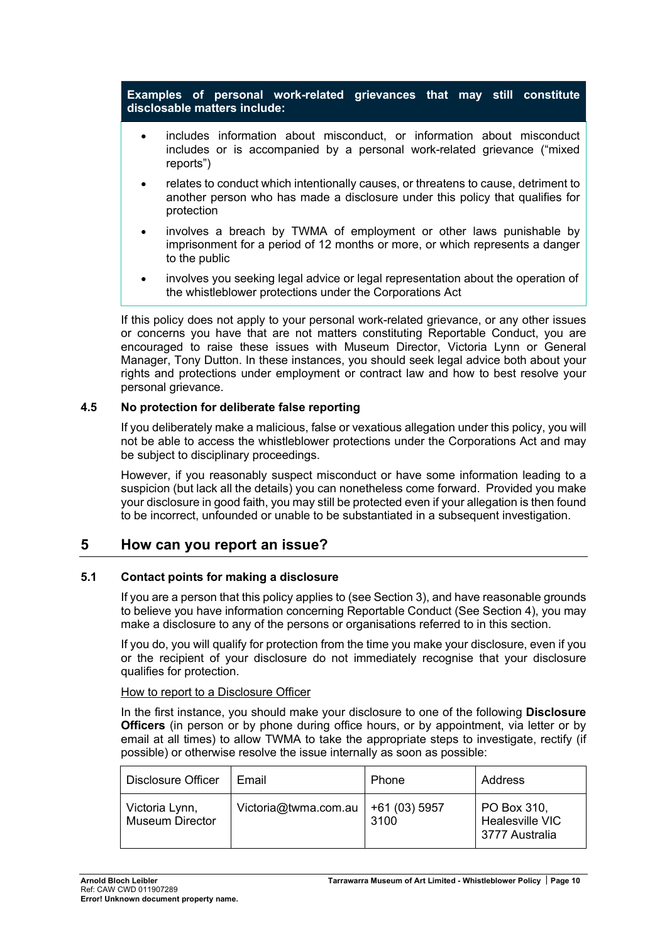**Examples of personal work-related grievances that may still constitute disclosable matters include:**

- includes information about misconduct, or information about misconduct includes or is accompanied by a personal work-related grievance ("mixed reports")
- relates to conduct which intentionally causes, or threatens to cause, detriment to another person who has made a disclosure under this policy that qualifies for protection
- involves a breach by TWMA of employment or other laws punishable by imprisonment for a period of 12 months or more, or which represents a danger to the public
- <span id="page-10-0"></span>• involves you seeking legal advice or legal representation about the operation of the whistleblower protections under the Corporations Act

If this policy does not apply to your personal work-related grievance, or any other issues or concerns you have that are not matters constituting Reportable Conduct, you are encouraged to raise these issues with Museum Director, Victoria Lynn or General Manager, Tony Dutton. In these instances, you should seek legal advice both about your rights and protections under employment or contract law and how to best resolve your personal grievance.

### **4.5 No protection for deliberate false reporting**

If you deliberately make a malicious, false or vexatious allegation under this policy, you will not be able to access the whistleblower protections under the Corporations Act and may be subject to disciplinary proceedings.

However, if you reasonably suspect misconduct or have some information leading to a suspicion (but lack all the details) you can nonetheless come forward. Provided you make your disclosure in good faith, you may still be protected even if your allegation is then found to be incorrect, unfounded or unable to be substantiated in a subsequent investigation.

## <span id="page-10-1"></span>**5 How can you report an issue?**

#### **5.1 Contact points for making a disclosure**

If you are a person that this policy applies to (see Section [3\)](#page-6-1), and have reasonable grounds to believe you have information concerning Reportable Conduct (See Section [4\)](#page-7-1), you may make a disclosure to any of the persons or organisations referred to in this section.

If you do, you will qualify for protection from the time you make your disclosure, even if you or the recipient of your disclosure do not immediately recognise that your disclosure qualifies for protection.

#### How to report to a Disclosure Officer

In the first instance, you should make your disclosure to one of the following **Disclosure Officers** (in person or by phone during office hours, or by appointment, via letter or by email at all times) to allow TWMA to take the appropriate steps to investigate, rectify (if possible) or otherwise resolve the issue internally as soon as possible:

| <b>Disclosure Officer</b>                | Email                | <b>Phone</b>          | Address                                          |
|------------------------------------------|----------------------|-----------------------|--------------------------------------------------|
| Victoria Lynn,<br><b>Museum Director</b> | Victoria@twma.com.au | +61 (03) 5957<br>3100 | PO Box 310,<br>Healesville VIC<br>3777 Australia |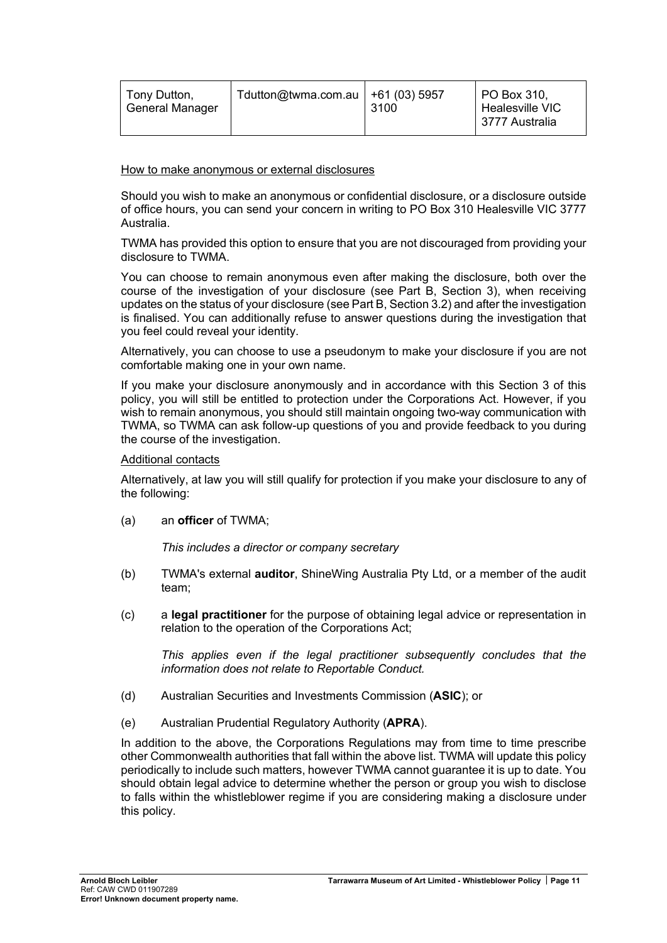| l Tonv Dutton.<br><b>General Manager</b> | Tdutton@twma.com.au   +61 (03) 5957<br>3100 | PO Box 310.<br>Healesville VIC<br>  3777 Australia |
|------------------------------------------|---------------------------------------------|----------------------------------------------------|
|------------------------------------------|---------------------------------------------|----------------------------------------------------|

#### How to make anonymous or external disclosures

Should you wish to make an anonymous or confidential disclosure, or a disclosure outside of office hours, you can send your concern in writing to PO Box 310 Healesville VIC 3777 Australia.

TWMA has provided this option to ensure that you are not discouraged from providing your disclosure to TWMA.

You can choose to remain anonymous even after making the disclosure, both over the course of the investigation of your disclosure (see Part B, Section [3\)](#page-18-1), when receiving updates on the status of your disclosure (see Part B, Section [3.2\)](#page-18-2) and after the investigation is finalised. You can additionally refuse to answer questions during the investigation that you feel could reveal your identity.

Alternatively, you can choose to use a pseudonym to make your disclosure if you are not comfortable making one in your own name.

If you make your disclosure anonymously and in accordance with this Section [3](#page-18-1) of this policy, you will still be entitled to protection under the Corporations Act. However, if you wish to remain anonymous, you should still maintain ongoing two-way communication with TWMA, so TWMA can ask follow-up questions of you and provide feedback to you during the course of the investigation.

#### Additional contacts

Alternatively, at law you will still qualify for protection if you make your disclosure to any of the following:

(a) an **officer** of TWMA;

*This includes a director or company secretary* 

- (b) TWMA's external **auditor**, ShineWing Australia Pty Ltd, or a member of the audit team;
- (c) a **legal practitioner** for the purpose of obtaining legal advice or representation in relation to the operation of the Corporations Act;

*This applies even if the legal practitioner subsequently concludes that the information does not relate to Reportable Conduct.*

- (d) Australian Securities and Investments Commission (**ASIC**); or
- (e) Australian Prudential Regulatory Authority (**APRA**).

In addition to the above, the Corporations Regulations may from time to time prescribe other Commonwealth authorities that fall within the above list. TWMA will update this policy periodically to include such matters, however TWMA cannot guarantee it is up to date. You should obtain legal advice to determine whether the person or group you wish to disclose to falls within the whistleblower regime if you are considering making a disclosure under this policy.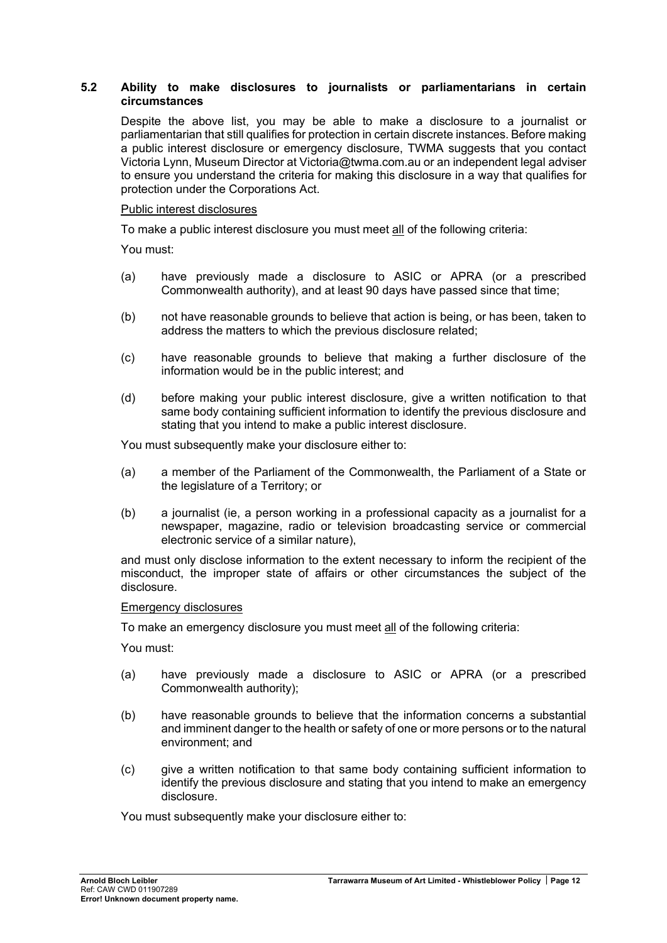#### **5.2 Ability to make disclosures to journalists or parliamentarians in certain circumstances**

Despite the above list, you may be able to make a disclosure to a journalist or parliamentarian that still qualifies for protection in certain discrete instances. Before making a public interest disclosure or emergency disclosure, TWMA suggests that you contact Victoria Lynn, Museum Director at Victoria@twma.com.au or an independent legal adviser to ensure you understand the criteria for making this disclosure in a way that qualifies for protection under the Corporations Act.

#### Public interest disclosures

To make a public interest disclosure you must meet all of the following criteria:

You must:

- (a) have previously made a disclosure to ASIC or APRA (or a prescribed Commonwealth authority), and at least 90 days have passed since that time;
- (b) not have reasonable grounds to believe that action is being, or has been, taken to address the matters to which the previous disclosure related;
- (c) have reasonable grounds to believe that making a further disclosure of the information would be in the public interest; and
- (d) before making your public interest disclosure, give a written notification to that same body containing sufficient information to identify the previous disclosure and stating that you intend to make a public interest disclosure.

You must subsequently make your disclosure either to:

- (a) a member of the Parliament of the Commonwealth, the Parliament of a State or the legislature of a Territory; or
- (b) a journalist (ie, a person working in a professional capacity as a journalist for a newspaper, magazine, radio or television broadcasting service or commercial electronic service of a similar nature),

and must only disclose information to the extent necessary to inform the recipient of the misconduct, the improper state of affairs or other circumstances the subject of the disclosure.

#### Emergency disclosures

To make an emergency disclosure you must meet all of the following criteria:

You must:

- (a) have previously made a disclosure to ASIC or APRA (or a prescribed Commonwealth authority);
- (b) have reasonable grounds to believe that the information concerns a substantial and imminent danger to the health or safety of one or more persons or to the natural environment; and
- (c) give a written notification to that same body containing sufficient information to identify the previous disclosure and stating that you intend to make an emergency disclosure.

You must subsequently make your disclosure either to: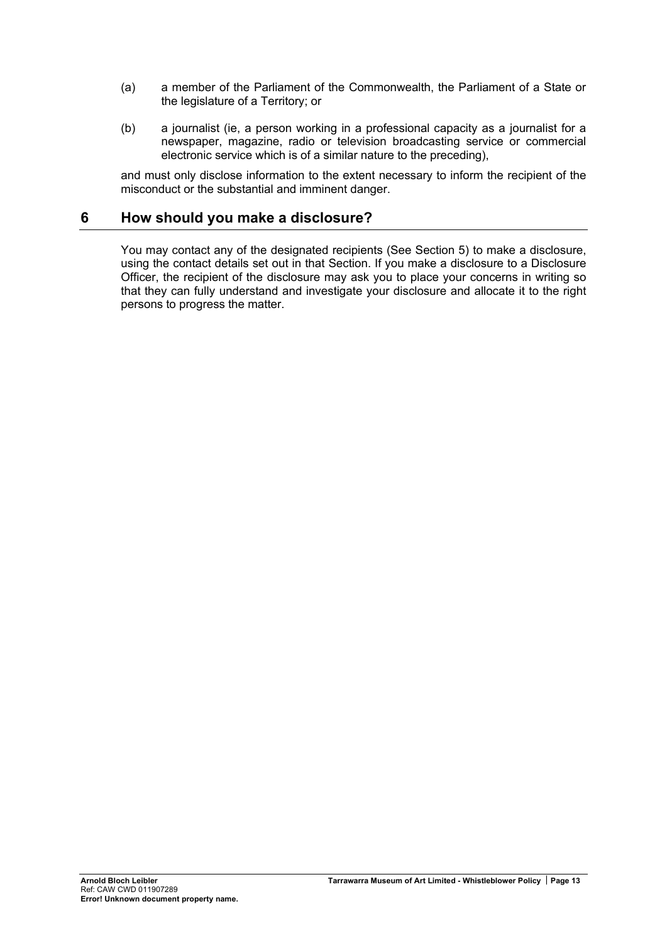- <span id="page-13-0"></span>(a) a member of the Parliament of the Commonwealth, the Parliament of a State or the legislature of a Territory; or
- (b) a journalist (ie, a person working in a professional capacity as a journalist for a newspaper, magazine, radio or television broadcasting service or commercial electronic service which is of a similar nature to the preceding),

and must only disclose information to the extent necessary to inform the recipient of the misconduct or the substantial and imminent danger.

## **6 How should you make a disclosure?**

You may contact any of the designated recipients (See Section [5\)](#page-10-1) to make a disclosure, using the contact details set out in that Section. If you make a disclosure to a Disclosure Officer, the recipient of the disclosure may ask you to place your concerns in writing so that they can fully understand and investigate your disclosure and allocate it to the right persons to progress the matter.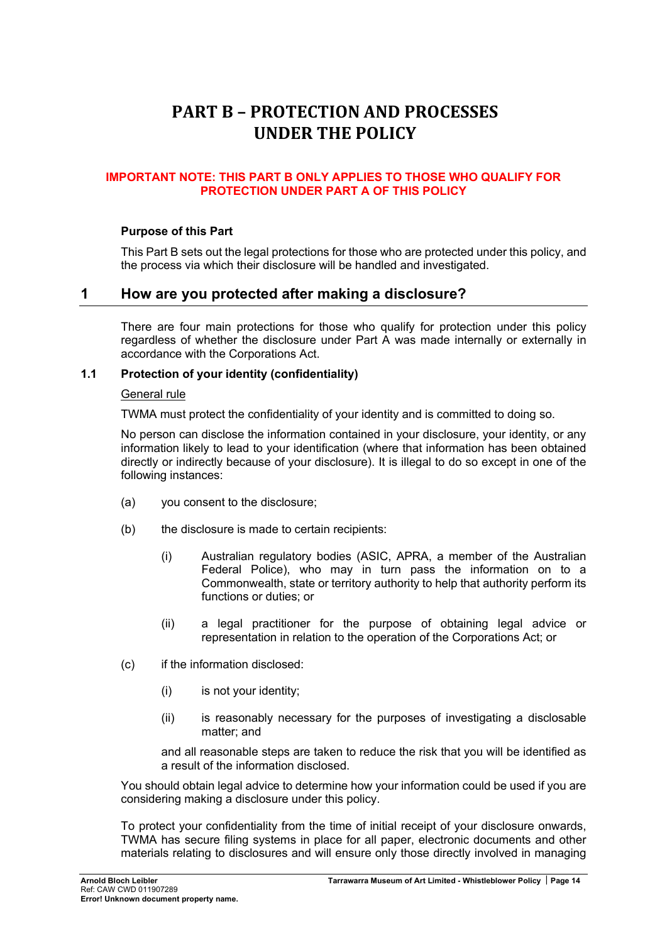# <span id="page-14-0"></span>**PART B – PROTECTION AND PROCESSES UNDER THE POLICY**

## **IMPORTANT NOTE: THIS PART B ONLY APPLIES TO THOSE WHO QUALIFY FOR PROTECTION UNDER PART A OF THIS POLICY**

### **Purpose of this Part**

This Part B sets out the legal protections for those who are protected under this policy, and the process via which their disclosure will be handled and investigated.

## <span id="page-14-1"></span>**1 How are you protected after making a disclosure?**

There are four main protections for those who qualify for protection under this policy regardless of whether the disclosure under Part A was made internally or externally in accordance with the Corporations Act.

#### **1.1 Protection of your identity (confidentiality)**

#### General rule

TWMA must protect the confidentiality of your identity and is committed to doing so.

No person can disclose the information contained in your disclosure, your identity, or any information likely to lead to your identification (where that information has been obtained directly or indirectly because of your disclosure). It is illegal to do so except in one of the following instances:

- (a) you consent to the disclosure;
- (b) the disclosure is made to certain recipients:
	- (i) Australian regulatory bodies (ASIC, APRA, a member of the Australian Federal Police), who may in turn pass the information on to a Commonwealth, state or territory authority to help that authority perform its functions or duties; or
	- (ii) a legal practitioner for the purpose of obtaining legal advice or representation in relation to the operation of the Corporations Act; or
- (c) if the information disclosed:
	- (i) is not your identity;
	- (ii) is reasonably necessary for the purposes of investigating a disclosable matter; and

and all reasonable steps are taken to reduce the risk that you will be identified as a result of the information disclosed.

You should obtain legal advice to determine how your information could be used if you are considering making a disclosure under this policy.

To protect your confidentiality from the time of initial receipt of your disclosure onwards, TWMA has secure filing systems in place for all paper, electronic documents and other materials relating to disclosures and will ensure only those directly involved in managing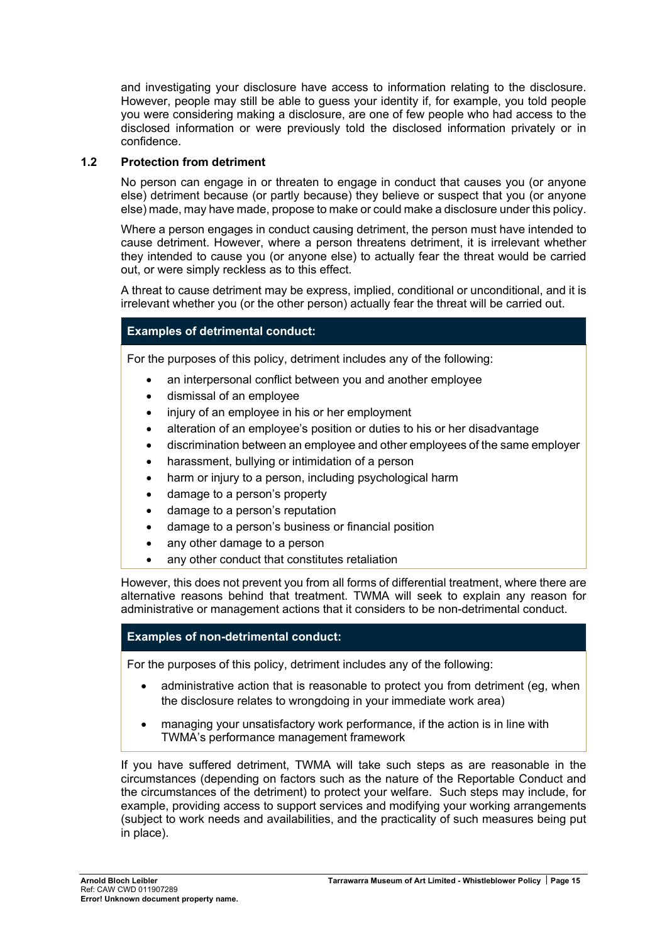and investigating your disclosure have access to information relating to the disclosure. However, people may still be able to guess your identity if, for example, you told people you were considering making a disclosure, are one of few people who had access to the disclosed information or were previously told the disclosed information privately or in confidence.

## **1.2 Protection from detriment**

No person can engage in or threaten to engage in conduct that causes you (or anyone else) detriment because (or partly because) they believe or suspect that you (or anyone else) made, may have made, propose to make or could make a disclosure under this policy.

Where a person engages in conduct causing detriment, the person must have intended to cause detriment. However, where a person threatens detriment, it is irrelevant whether they intended to cause you (or anyone else) to actually fear the threat would be carried out, or were simply reckless as to this effect.

A threat to cause detriment may be express, implied, conditional or unconditional, and it is irrelevant whether you (or the other person) actually fear the threat will be carried out.

## **Examples of detrimental conduct:**

For the purposes of this policy, detriment includes any of the following:

- an interpersonal conflict between you and another employee
- dismissal of an employee
- injury of an employee in his or her employment
- alteration of an employee's position or duties to his or her disadvantage
- discrimination between an employee and other employees of the same employer
- harassment, bullying or intimidation of a person
- harm or injury to a person, including psychological harm
- damage to a person's property
- damage to a person's reputation
- damage to a person's business or financial position
- any other damage to a person
- any other conduct that constitutes retaliation

However, this does not prevent you from all forms of differential treatment, where there are alternative reasons behind that treatment. TWMA will seek to explain any reason for administrative or management actions that it considers to be non-detrimental conduct.

## **Examples of non-detrimental conduct:**

For the purposes of this policy, detriment includes any of the following:

- administrative action that is reasonable to protect you from detriment (eg, when the disclosure relates to wrongdoing in your immediate work area)
- managing your unsatisfactory work performance, if the action is in line with TWMA's performance management framework

If you have suffered detriment, TWMA will take such steps as are reasonable in the circumstances (depending on factors such as the nature of the Reportable Conduct and the circumstances of the detriment) to protect your welfare. Such steps may include, for example, providing access to support services and modifying your working arrangements (subject to work needs and availabilities, and the practicality of such measures being put in place).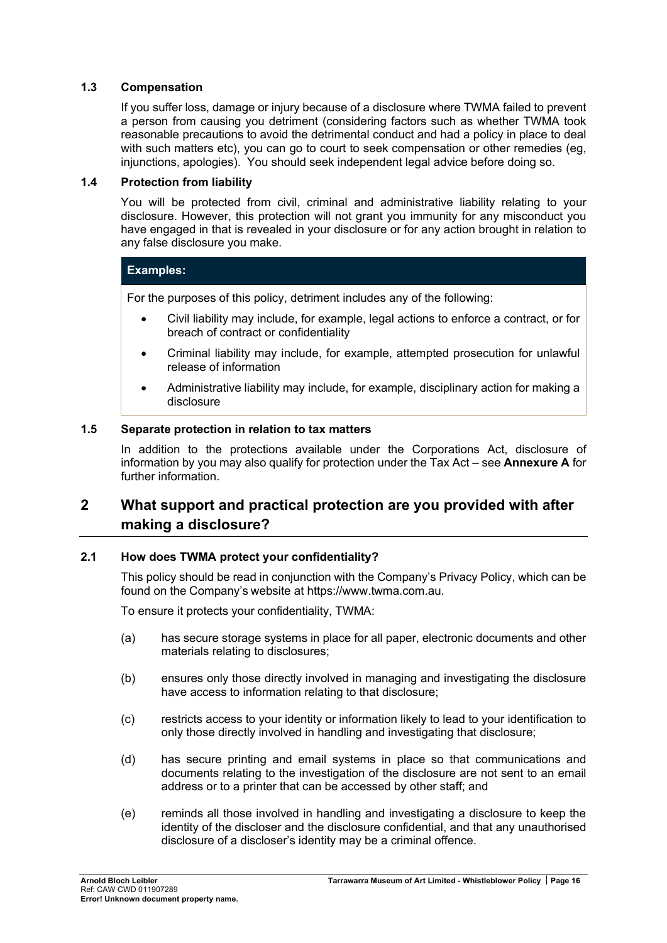## **1.3 Compensation**

If you suffer loss, damage or injury because of a disclosure where TWMA failed to prevent a person from causing you detriment (considering factors such as whether TWMA took reasonable precautions to avoid the detrimental conduct and had a policy in place to deal with such matters etc), you can go to court to seek compensation or other remedies (eg, injunctions, apologies). You should seek independent legal advice before doing so.

#### <span id="page-16-0"></span>**1.4 Protection from liability**

You will be protected from civil, criminal and administrative liability relating to your disclosure. However, this protection will not grant you immunity for any misconduct you have engaged in that is revealed in your disclosure or for any action brought in relation to any false disclosure you make.

#### **Examples:**

For the purposes of this policy, detriment includes any of the following:

- Civil liability may include, for example, legal actions to enforce a contract, or for breach of contract or confidentiality
- Criminal liability may include, for example, attempted prosecution for unlawful release of information
- Administrative liability may include, for example, disciplinary action for making a disclosure

### **1.5 Separate protection in relation to tax matters**

In addition to the protections available under the Corporations Act, disclosure of information by you may also qualify for protection under the Tax Act – see **Annexure A** for further information.

# **2 What support and practical protection are you provided with after making a disclosure?**

#### <span id="page-16-1"></span>**2.1 How does TWMA protect your confidentiality?**

This policy should be read in conjunction with the Company's Privacy Policy, which can be found on the Company's website at https://www.twma.com.au.

To ensure it protects your confidentiality, TWMA:

- (a) has secure storage systems in place for all paper, electronic documents and other materials relating to disclosures;
- (b) ensures only those directly involved in managing and investigating the disclosure have access to information relating to that disclosure;
- (c) restricts access to your identity or information likely to lead to your identification to only those directly involved in handling and investigating that disclosure;
- (d) has secure printing and email systems in place so that communications and documents relating to the investigation of the disclosure are not sent to an email address or to a printer that can be accessed by other staff; and
- (e) reminds all those involved in handling and investigating a disclosure to keep the identity of the discloser and the disclosure confidential, and that any unauthorised disclosure of a discloser's identity may be a criminal offence.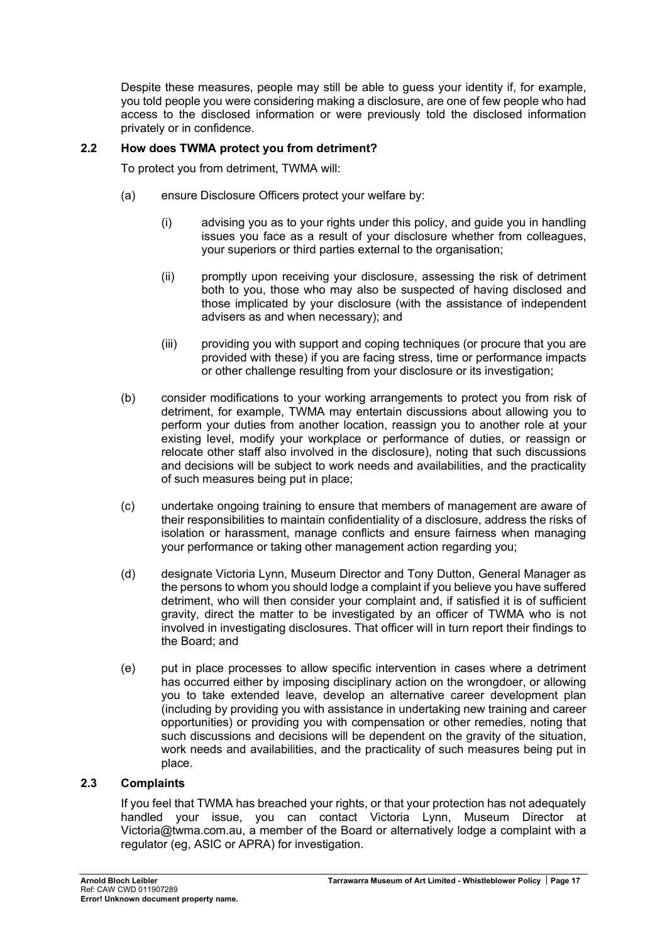Despite these measures, people may still be able to guess your identity if, for example, you told people you were considering making a disclosure, are one of few people who had access to the disclosed information or were previously told the disclosed information privately or in confidence.

## **2.2 How does TWMA protect you from detriment?**

To protect you from detriment, TWMA will:

- (a) ensure Disclosure Officers protect your welfare by:
	- (i) advising you as to your rights under this policy, and guide you in handling issues you face as a result of your disclosure whether from colleagues, your superiors or third parties external to the organisation;
	- (ii) promptly upon receiving your disclosure, assessing the risk of detriment both to you, those who may also be suspected of having disclosed and those implicated by your disclosure (with the assistance of independent advisers as and when necessary); and
	- (iii) providing you with support and coping techniques (or procure that you are provided with these) if you are facing stress, time or performance impacts or other challenge resulting from your disclosure or its investigation;
- (b) consider modifications to your working arrangements to protect you from risk of detriment, for example, TWMA may entertain discussions about allowing you to perform your duties from another location, reassign you to another role at your existing level, modify your workplace or performance of duties, or reassign or relocate other staff also involved in the disclosure), noting that such discussions and decisions will be subject to work needs and availabilities, and the practicality of such measures being put in place;
- (c) undertake ongoing training to ensure that members of management are aware of their responsibilities to maintain confidentiality of a disclosure, address the risks of isolation or harassment, manage conflicts and ensure fairness when managing your performance or taking other management action regarding you;
- (d) designate Victoria Lynn, Museum Director and Tony Dutton, General Manager as the persons to whom you should lodge a complaint if you believe you have suffered detriment, who will then consider your complaint and, if satisfied it is of sufficient gravity, direct the matter to be investigated by an officer of TWMA who is not involved in investigating disclosures. That officer will in turn report their findings to the Board; and
- (e) put in place processes to allow specific intervention in cases where a detriment has occurred either by imposing disciplinary action on the wrongdoer, or allowing you to take extended leave, develop an alternative career development plan (including by providing you with assistance in undertaking new training and career opportunities) or providing you with compensation or other remedies, noting that such discussions and decisions will be dependent on the gravity of the situation, work needs and availabilities, and the practicality of such measures being put in place.

## **2.3 Complaints**

If you feel that TWMA has breached your rights, or that your protection has not adequately handled your issue, you can contact Victoria Lynn, Museum Director at Victoria@twma.com.au, a member of the Board or alternatively lodge a complaint with a regulator (eg, ASIC or APRA) for investigation.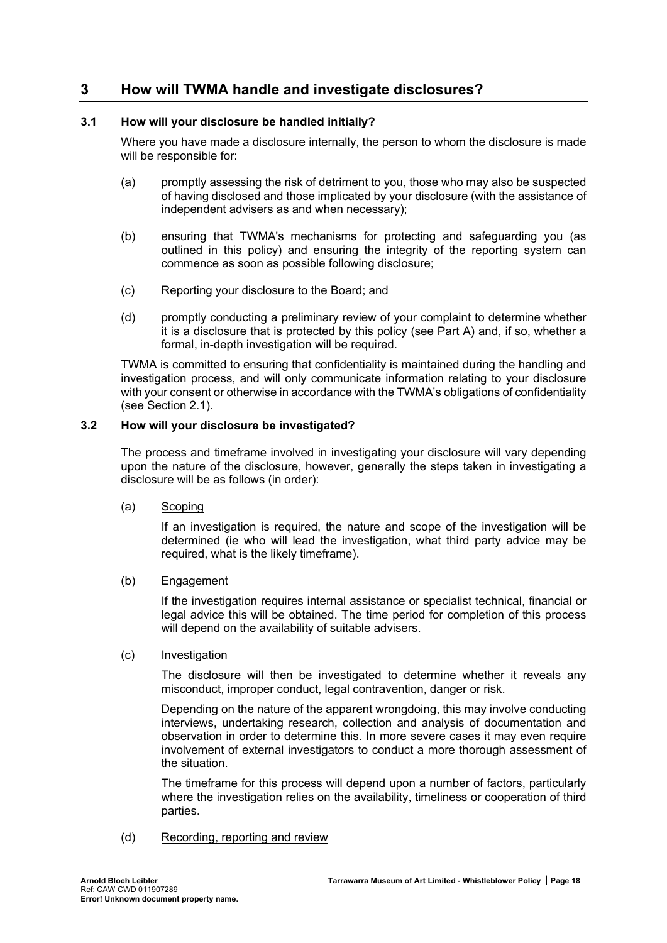# <span id="page-18-1"></span><span id="page-18-0"></span>**3 How will TWMA handle and investigate disclosures?**

## **3.1 How will your disclosure be handled initially?**

Where you have made a disclosure internally, the person to whom the disclosure is made will be responsible for:

- (a) promptly assessing the risk of detriment to you, those who may also be suspected of having disclosed and those implicated by your disclosure (with the assistance of independent advisers as and when necessary);
- (b) ensuring that TWMA's mechanisms for protecting and safeguarding you (as outlined in this policy) and ensuring the integrity of the reporting system can commence as soon as possible following disclosure;
- (c) Reporting your disclosure to the Board; and
- (d) promptly conducting a preliminary review of your complaint to determine whether it is a disclosure that is protected by this policy (see Part A) and, if so, whether a formal, in-depth investigation will be required.

TWMA is committed to ensuring that confidentiality is maintained during the handling and investigation process, and will only communicate information relating to your disclosure with your consent or otherwise in accordance with the TWMA's obligations of confidentiality (see Section [2.1\)](#page-16-1).

## <span id="page-18-2"></span>**3.2 How will your disclosure be investigated?**

The process and timeframe involved in investigating your disclosure will vary depending upon the nature of the disclosure, however, generally the steps taken in investigating a disclosure will be as follows (in order):

## (a) Scoping

If an investigation is required, the nature and scope of the investigation will be determined (ie who will lead the investigation, what third party advice may be required, what is the likely timeframe).

## (b) Engagement

If the investigation requires internal assistance or specialist technical, financial or legal advice this will be obtained. The time period for completion of this process will depend on the availability of suitable advisers.

## (c) Investigation

The disclosure will then be investigated to determine whether it reveals any misconduct, improper conduct, legal contravention, danger or risk.

Depending on the nature of the apparent wrongdoing, this may involve conducting interviews, undertaking research, collection and analysis of documentation and observation in order to determine this. In more severe cases it may even require involvement of external investigators to conduct a more thorough assessment of the situation.

The timeframe for this process will depend upon a number of factors, particularly where the investigation relies on the availability, timeliness or cooperation of third parties.

(d) Recording, reporting and review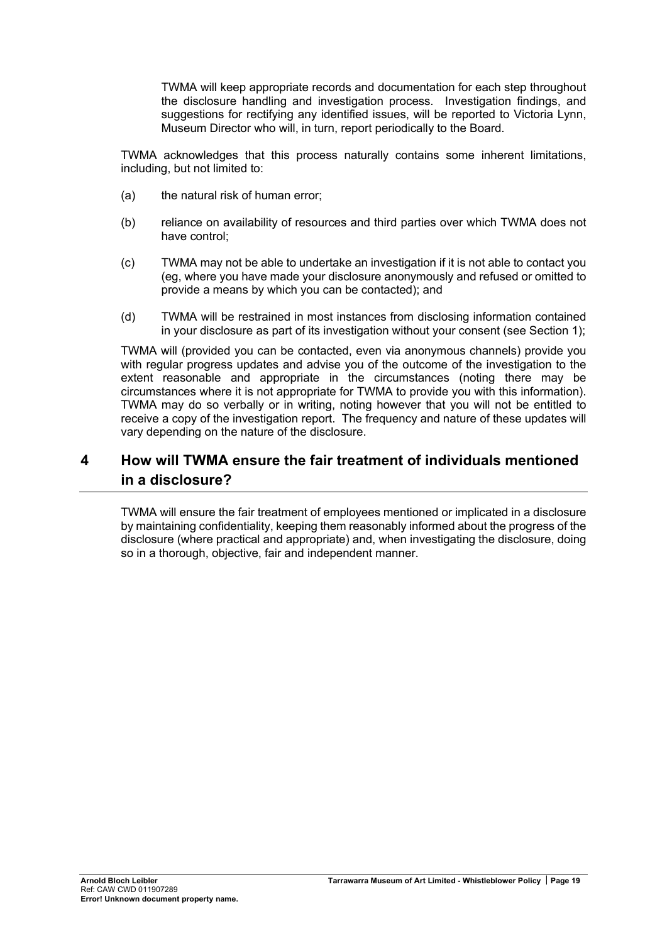TWMA will keep appropriate records and documentation for each step throughout the disclosure handling and investigation process. Investigation findings, and suggestions for rectifying any identified issues, will be reported to Victoria Lynn, Museum Director who will, in turn, report periodically to the Board.

TWMA acknowledges that this process naturally contains some inherent limitations, including, but not limited to:

- (a) the natural risk of human error;
- (b) reliance on availability of resources and third parties over which TWMA does not have control;
- (c) TWMA may not be able to undertake an investigation if it is not able to contact you (eg, where you have made your disclosure anonymously and refused or omitted to provide a means by which you can be contacted); and
- (d) TWMA will be restrained in most instances from disclosing information contained in your disclosure as part of its investigation without your consent (see Section [1\)](#page-14-1);

TWMA will (provided you can be contacted, even via anonymous channels) provide you with regular progress updates and advise you of the outcome of the investigation to the extent reasonable and appropriate in the circumstances (noting there may be circumstances where it is not appropriate for TWMA to provide you with this information). TWMA may do so verbally or in writing, noting however that you will not be entitled to receive a copy of the investigation report. The frequency and nature of these updates will vary depending on the nature of the disclosure.

# **4 How will TWMA ensure the fair treatment of individuals mentioned in a disclosure?**

TWMA will ensure the fair treatment of employees mentioned or implicated in a disclosure by maintaining confidentiality, keeping them reasonably informed about the progress of the disclosure (where practical and appropriate) and, when investigating the disclosure, doing so in a thorough, objective, fair and independent manner.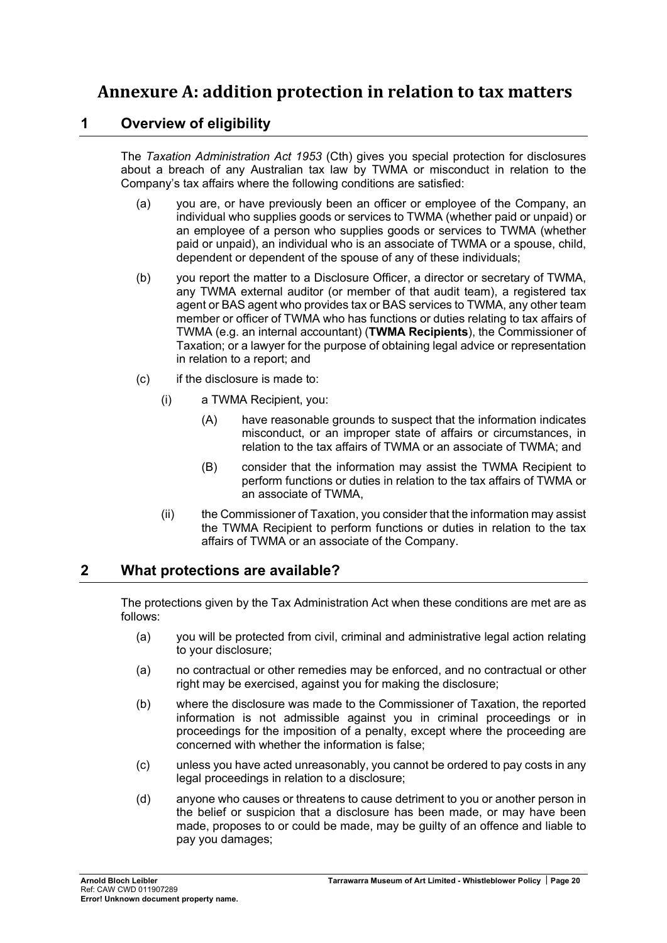# **Annexure A: addition protection in relation to tax matters**

## **1 Overview of eligibility**

The *Taxation Administration Act 1953* (Cth) gives you special protection for disclosures about a breach of any Australian tax law by TWMA or misconduct in relation to the Company's tax affairs where the following conditions are satisfied:

- (a) you are, or have previously been an officer or employee of the Company, an individual who supplies goods or services to TWMA (whether paid or unpaid) or an employee of a person who supplies goods or services to TWMA (whether paid or unpaid), an individual who is an associate of TWMA or a spouse, child, dependent or dependent of the spouse of any of these individuals;
- (b) you report the matter to a Disclosure Officer, a director or secretary of TWMA, any TWMA external auditor (or member of that audit team), a registered tax agent or BAS agent who provides tax or BAS services to TWMA, any other team member or officer of TWMA who has functions or duties relating to tax affairs of TWMA (e.g. an internal accountant) (**TWMA Recipients**), the Commissioner of Taxation; or a lawyer for the purpose of obtaining legal advice or representation in relation to a report; and
- (c) if the disclosure is made to:
	- (i) a TWMA Recipient, you:
		- (A) have reasonable grounds to suspect that the information indicates misconduct, or an improper state of affairs or circumstances, in relation to the tax affairs of TWMA or an associate of TWMA; and
		- (B) consider that the information may assist the TWMA Recipient to perform functions or duties in relation to the tax affairs of TWMA or an associate of TWMA,
	- (ii) the Commissioner of Taxation, you consider that the information may assist the TWMA Recipient to perform functions or duties in relation to the tax affairs of TWMA or an associate of the Company.

## **2 What protections are available?**

The protections given by the Tax Administration Act when these conditions are met are as follows:

- (a) you will be protected from civil, criminal and administrative legal action relating to your disclosure;
- (a) no contractual or other remedies may be enforced, and no contractual or other right may be exercised, against you for making the disclosure;
- (b) where the disclosure was made to the Commissioner of Taxation, the reported information is not admissible against you in criminal proceedings or in proceedings for the imposition of a penalty, except where the proceeding are concerned with whether the information is false;
- (c) unless you have acted unreasonably, you cannot be ordered to pay costs in any legal proceedings in relation to a disclosure;
- (d) anyone who causes or threatens to cause detriment to you or another person in the belief or suspicion that a disclosure has been made, or may have been made, proposes to or could be made, may be guilty of an offence and liable to pay you damages;